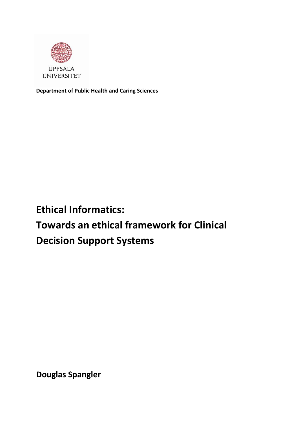

**Department of Public Health and Caring Sciences**

**Ethical Informatics: Towards an ethical framework for Clinical Decision Support Systems**

**Douglas Spangler**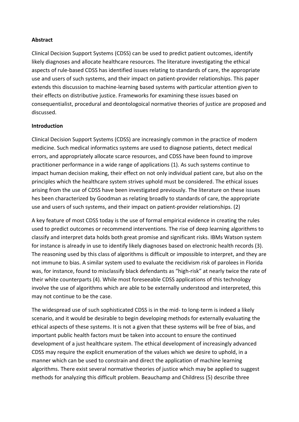#### **Abstract**

Clinical Decision Support Systems (CDSS) can be used to predict patient outcomes, identify likely diagnoses and allocate healthcare resources. The literature investigating the ethical aspects of rule-based CDSS has identified issues relating to standards of care, the appropriate use and users of such systems, and their impact on patient-provider relationships. This paper extends this discussion to machine-learning based systems with particular attention given to their effects on distributive justice. Frameworks for examining these issues based on consequentialist, procedural and deontologoical normative theories of justice are proposed and discussed.

### **Introduction**

Clinical Decision Support Systems (CDSS) are increasingly common in the practice of modern medicine. Such medical informatics systems are used to diagnose patients, detect medical errors, and appropriately allocate scarce resources, and CDSS have been found to improve practitioner performance in a wide range of applications (1). As such systems continue to impact human decision making, their effect on not only individual patient care, but also on the principles which the healthcare system strives uphold must be considered. The ethical issues arising from the use of CDSS have been investigated previously. The literature on these issues hes been characterized by Goodman as relating broadly to standards of care, the appropriate use and users of such systems, and their impact on patient-provider relationships. (2)

A key feature of most CDSS today is the use of formal empirical evidence in creating the rules used to predict outcomes or recommend interventions. The rise of deep learning algorithms to classify and interpret data holds both great promise and significant risks. IBMs Watson system for instance is already in use to identify likely diagnoses based on electronic health records (3). The reasoning used by this class of algorithms is difficult or impossible to interpret, and they are not immune to bias. A similar system used to evaluate the recidivism risk of parolees in Florida was, for instance, found to misclassify black defendants as "high-risk" at nearly twice the rate of their white counterparts (4). While most foreseeable CDSS applications of this technology involve the use of algorithms which are able to be externally understood and interpreted, this may not continue to be the case.

The widespread use of such sophisticated CDSS is in the mid- to long-term is indeed a likely scenario, and it would be desirable to begin developing methods for externally evaluating the ethical aspects of these systems. It is not a given that these systems will be free of bias, and important public health factors must be taken into account to ensure the continued development of a just healthcare system. The ethical development of increasingly advanced CDSS may require the explicit enumeration of the values which we desire to uphold, in a manner which can be used to constrain and direct the application of machine learning algorithms. There exist several normative theories of justice which may be applied to suggest methods for analyzing this difficult problem. Beauchamp and Childress (5) describe three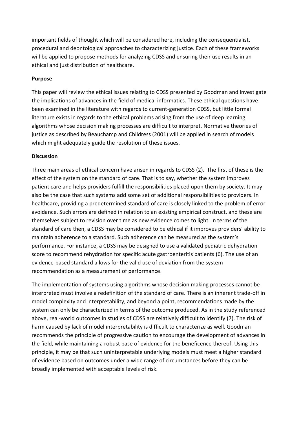important fields of thought which will be considered here, including the consequentialist, procedural and deontological approaches to characterizing justice. Each of these frameworks will be applied to propose methods for analyzing CDSS and ensuring their use results in an ethical and just distribution of healthcare.

## **Purpose**

This paper will review the ethical issues relating to CDSS presented by Goodman and investigate the implications of advances in the field of medical informatics. These ethical questions have been examined in the literature with regards to current-generation CDSS, but little formal literature exists in regards to the ethical problems arising from the use of deep learning algorithms whose decision making processes are difficult to interpret. Normative theories of justice as described by Beauchamp and Childress (2001) will be applied in search of models which might adequately guide the resolution of these issues.

### **Discussion**

Three main areas of ethical concern have arisen in regards to CDSS (2). The first of these is the effect of the system on the standard of care. That is to say, whether the system improves patient care and helps providers fulfill the responsibilities placed upon them by society. It may also be the case that such systems add some set of additional responsibilities to providers. In healthcare, providing a predetermined standard of care is closely linked to the problem of error avoidance. Such errors are defined in relation to an existing empirical construct, and these are themselves subject to revision over time as new evidence comes to light. In terms of the standard of care then, a CDSS may be considered to be ethical if it improves providers' ability to maintain adherence to a standard. Such adherence can be measured as the system's performance. For instance, a CDSS may be designed to use a validated pediatric dehydration score to recommend rehydration for specific acute gastroenteritis patients (6). The use of an evidence-based standard allows for the valid use of deviation from the system recommendation as a measurement of performance.

The implementation of systems using algorithms whose decision making processes cannot be interpreted must involve a redefinition of the standard of care. There is an inherent trade-off in model complexity and interpretability, and beyond a point, recommendations made by the system can only be characterized in terms of the outcome produced. As in the study referenced above, real-world outcomes in studies of CDSS are relatively difficult to identify (7). The risk of harm caused by lack of model interpretability is difficult to characterize as well. Goodman recommends the principle of progressive caution to encourage the development of advances in the field, while maintaining a robust base of evidence for the beneficence thereof. Using this principle, it may be that such uninterpretable underlying models must meet a higher standard of evidence based on outcomes under a wide range of circumstances before they can be broadly implemented with acceptable levels of risk.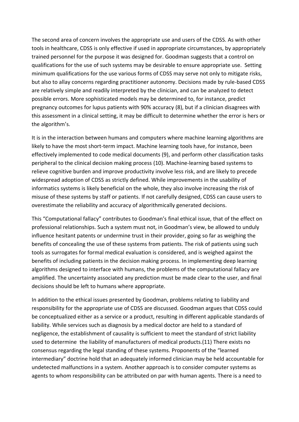The second area of concern involves the appropriate use and users of the CDSS. As with other tools in healthcare, CDSS is only effective if used in appropriate circumstances, by appropriately trained personnel for the purpose it was designed for. Goodman suggests that a control on qualifications for the use of such systems may be desirable to ensure appropriate use. Setting minimum qualifications for the use various forms of CDSS may serve not only to mitigate risks, but also to allay concerns regarding practitioner autonomy. Decisions made by rule-based CDSS are relatively simple and readily interpreted by the clinician, and can be analyzed to detect possible errors. More sophisticated models may be determined to, for instance, predict pregnancy outcomes for lupus patients with 90% accuracy (8), but if a clinician disagrees with this assessment in a clinical setting, it may be difficult to determine whether the error is hers or the algorithm's.

It is in the interaction between humans and computers where machine learning algorithms are likely to have the most short-term impact. Machine learning tools have, for instance, been effectively implemented to code medical documents (9), and perform other classification tasks peripheral to the clinical decision making process (10). Machine-learning based systems to relieve cognitive burden and improve productivity involve less risk, and are likely to precede widespread adoption of CDSS as strictly defined. While improvements in the usability of informatics systems is likely beneficial on the whole, they also involve increasing the risk of misuse of these systems by staff or patients. If not carefully designed, CDSS can cause users to overestimate the reliability and accuracy of algorithmically generated decisions.

This "Computational fallacy" contributes to Goodman's final ethical issue, that of the effect on professional relationships. Such a system must not, in Goodman's view, be allowed to unduly influence hesitant patents or undermine trust in their provider, going so far as weighing the benefits of concealing the use of these systems from patients. The risk of patients using such tools as surrogates for formal medical evaluation is considered, and is weighed against the benefits of including patients in the decision making process. In implementing deep learning algorithms designed to interface with humans, the problems of the computational fallacy are amplified. The uncertainty associated any prediction must be made clear to the user, and final decisions should be left to humans where appropriate.

In addition to the ethical issues presented by Goodman, problems relating to liability and responsibility for the appropriate use of CDSS are discussed. Goodman argues that CDSS could be conceptualized either as a service or a product, resulting in different applicable standards of liability. While services such as diagnosis by a medical doctor are held to a standard of negligence, the establishment of causality is sufficient to meet the standard of strict liability used to determine the liability of manufacturers of medical products.(11) There exists no consensus regarding the legal standing of these systems. Proponents of the "learned intermediary" doctrine hold that an adequately informed clinician may be held accountable for undetected malfunctions in a system. Another approach is to consider computer systems as agents to whom responsibility can be attributed on par with human agents. There is a need to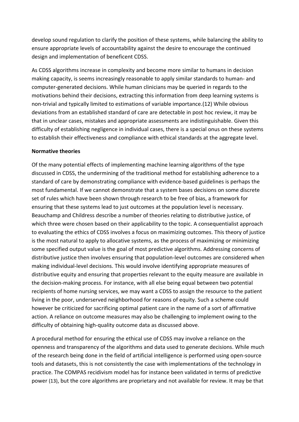develop sound regulation to clarify the position of these systems, while balancing the ability to ensure appropriate levels of accountability against the desire to encourage the continued design and implementation of beneficent CDSS.

As CDSS algorithms increase in complexity and become more similar to humans in decision making capacity, is seems increasingly reasonable to apply similar standards to human- and computer-generated decisions. While human clinicians may be queried in regards to the motivations behind their decisions, extracting this information from deep learning systems is non-trivial and typically limited to estimations of variable importance.(12) While obvious deviations from an established standard of care are detectable in post hoc review, it may be that in unclear cases, mistakes and appropriate assessments are indistinguishable. Given this difficulty of establishing negligence in individual cases, there is a special onus on these systems to establish their effectiveness and compliance with ethical standards at the aggregate level.

### **Normative theories**

Of the many potential effects of implementing machine learning algorithms of the type discussed in CDSS, the undermining of the traditional method for establishing adherence to a standard of care by demonstrating compliance with evidence-based guidelines is perhaps the most fundamental. If we cannot demonstrate that a system bases decisions on some discrete set of rules which have been shown through research to be free of bias, a framework for ensuring that these systems lead to just outcomes at the population level is necessary. Beauchamp and Childress describe a number of theories relating to distributive justice, of which three were chosen based on their applicability to the topic. A consequentialist approach to evaluating the ethics of CDSS involves a focus on maximizing outcomes. This theory of justice is the most natural to apply to allocative systems, as the process of maximizing or minimizing some specified output value is the goal of most predictive algorithms. Addressing concerns of distributive justice then involves ensuring that population-level outcomes are considered when making individual-level decisions. This would involve identifying appropriate measures of distributive equity and ensuring that properties relevant to the equity measure are available in the decision-making process. For instance, with all else being equal between two potential recipients of home nursing services, we may want a CDSS to assign the resource to the patient living in the poor, underserved neighborhood for reasons of equity. Such a scheme could however be criticized for sacrificing optimal patient care in the name of a sort of affirmative action. A reliance on outcome measures may also be challenging to implement owing to the difficulty of obtaining high-quality outcome data as discussed above.

A procedural method for ensuring the ethical use of CDSS may involve a reliance on the openness and transparency of the algorithms and data used to generate decisions. While much of the research being done in the field of artificial intelligence is performed using open-source tools and datasets, this is not consistently the case with implementations of the technology in practice. The COMPAS recidivism model has for instance been validated in terms of predictive power (13), but the core algorithms are proprietary and not available for review. It may be that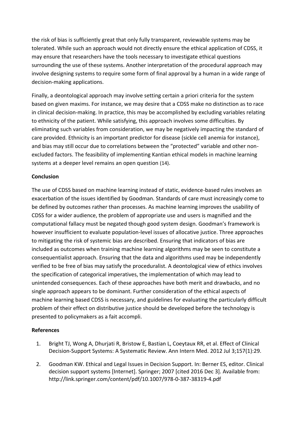the risk of bias is sufficiently great that only fully transparent, reviewable systems may be tolerated. While such an approach would not directly ensure the ethical application of CDSS, it may ensure that researchers have the tools necessary to investigate ethical questions surrounding the use of these systems. Another interpretation of the procedural approach may involve designing systems to require some form of final approval by a human in a wide range of decision-making applications.

Finally, a deontological approach may involve setting certain a priori criteria for the system based on given maxims. For instance, we may desire that a CDSS make no distinction as to race in clinical decision-making. In practice, this may be accomplished by excluding variables relating to ethnicity of the patient. While satisfying, this approach involves some difficulties. By eliminating such variables from consideration, we may be negatively impacting the standard of care provided. Ethnicity is an important predictor for disease (sickle cell anemia for instance), and bias may still occur due to correlations between the "protected" variable and other nonexcluded factors. The feasibility of implementing Kantian ethical models in machine learning systems at a deeper level remains an open question (14).

## **Conclusion**

The use of CDSS based on machine learning instead of static, evidence-based rules involves an exacerbation of the issues identified by Goodman. Standards of care must increasingly come to be defined by outcomes rather than processes. As machine learning improves the usability of CDSS for a wider audience, the problem of appropriate use and users is magnified and the computational fallacy must be negated though good system design. Goodman's framework is however insufficient to evaluate population-level issues of allocative justice. Three approaches to mitigating the risk of systemic bias are described. Ensuring that indicators of bias are included as outcomes when training machine learning algorithms may be seen to constitute a consequentialist approach. Ensuring that the data and algorithms used may be independently verified to be free of bias may satisfy the proceduralist. A deontological view of ethics involves the specification of categorical imperatives, the implementation of which may lead to unintended consequences. Each of these approaches have both merit and drawbacks, and no single approach appears to be dominant. Further consideration of the ethical aspects of machine learning based CDSS is necessary, and guidelines for evaluating the particularly difficult problem of their effect on distributive justice should be developed before the technology is presented to policymakers as a fait accompli.

# **References**

- 1. Bright TJ, Wong A, Dhurjati R, Bristow E, Bastian L, Coeytaux RR, et al. Effect of Clinical Decision-Support Systems: A Systematic Review. Ann Intern Med. 2012 Jul 3;157(1):29.
- 2. Goodman KW. Ethical and Legal Issues in Decision Support. In: Berner ES, editor. Clinical decision support systems [Internet]. Springer; 2007 [cited 2016 Dec 3]. Available from: http://link.springer.com/content/pdf/10.1007/978-0-387-38319-4.pdf